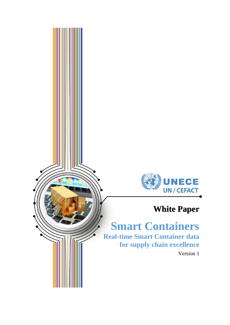

## **White Paper**

# **Smart Containers**

**Real-time Smart Container data for supply chain excellence**

Version 1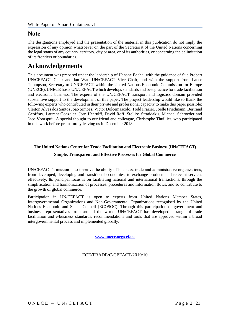## **Note**

The designations employed and the presentation of the material in this publication do not imply the expression of any opinion whatsoever on the part of the Secretariat of the United Nations concerning the legal status of any country, territory, city or area, or of its authorities, or concerning the delimitation of its frontiers or boundaries.

## **Acknowledgements**

This document was prepared under the leadership of Hanane Becha; with the guidance of Sue Probert UN/CEFACT Chair and Ian Watt UN/CEFACT Vice Chair; and with the support from Lance Thompson, Secretary to UN/CEFACT within the United Nations Economic Commission for Europe (UNECE). UNECE hosts UN/CEFACT which develops standards and best practice for trade facilitation and electronic business. The experts of the UN/CEFACT transport and logistics domain provided substantive support to the development of this paper. The project leadership would like to thank the following experts who contributed in their private and professional capacity to make this paper possible: Cleiton Alves dos Santos Joao Simoes, Victor Dolcemascolo, Todd Frazier, Joelle Friedmann, Bertrand Geoffray, Laurent Gonzalez, Jorn Heerulff, David Roff, Stellios Stratidakis, Michael Schroeder and Jaco Voorspuij. A special thought to our friend and colleague, Christophe Thuillier, who participated in this work before prematurely leaving us in December 2018.

#### **The United Nations Centre for Trade Facilitation and Electronic Business (UN/CEFACT)**

#### **Simple, Transparent and Effective Processes for Global Commerce**

UN/CEFACT's mission is to improve the ability of business, trade and administrative organizations, from developed, developing and transitional economies, to exchange products and relevant services effectively. Its principal focus is on facilitating national and international transactions, through the simplification and harmonization of processes, procedures and information flows, and so contribute to the growth of global commerce.

Participation in UN/CEFACT is open to experts from United Nations Member States, Intergovernmental Organizations and Non-Governmental Organizations recognised by the United Nations Economic and Social Council (ECOSOC). Through this participation of government and business representatives from around the world, UN/CEFACT has developed a range of trade facilitation and e-business standards, recommendations and tools that are approved within a broad intergovernmental process and implemented globally.

**[www.unece.org/cefact](http://www.unece.org/cefact)**

## ECE/TRADE/C/CEFACT/2019/10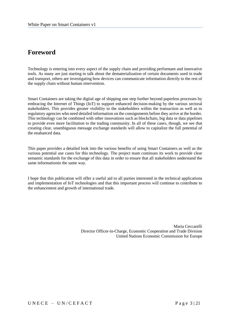## **Foreword**

Technology is entering into every aspect of the supply chain and providing performant and innovative tools. As many are just starting to talk about the dematerialization of certain documents used in trade and transport, others are investigating how devices can communicate information directly to the rest of the supply chain without human intervention.

Smart Containers are taking the digital age of shipping one step further beyond paperless processes by embracing the Internet of Things (IoT) to support enhanced decision-making by the various sectoral stakeholders. This provides greater visibility to the stakeholders within the transaction as well as to regulatory agencies who need detailed information on the consignments before they arrive at the border. This technology can be combined with other innovations such as blockchain, big data or data pipelines to provide even more facilitation to the trading community. In all of these cases, though, we see that creating clear, unambiguous message exchange standards will allow to capitalize the full potential of the enahanced data.

This paper provides a detailed look into the various benefits of using Smart Containers as well as the various potential use cases for this technology. The project team continues its work to provide clear semantic standards for the exchange of this data in order to ensure that all stakeholders understand the same informationin the same way.

I hope that this publication will offer a useful aid to all parties interested in the technical applications and implementation of IoT technologies and that this important process will continue to contribute to the enhancement and growth of international trade.

> Maria Ceccarelli Director Officer-in-Charge, Economic Cooperation and Trade Division United Nations Economic Commission for Europe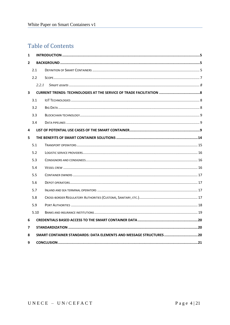## **Table of Contents**

| $\mathbf{1}$   |                                                                    |  |  |  |  |  |
|----------------|--------------------------------------------------------------------|--|--|--|--|--|
| $\overline{2}$ |                                                                    |  |  |  |  |  |
|                | 2.1                                                                |  |  |  |  |  |
|                | $2.2^{\circ}$                                                      |  |  |  |  |  |
|                |                                                                    |  |  |  |  |  |
| $\mathbf{3}$   |                                                                    |  |  |  |  |  |
|                | 3.1                                                                |  |  |  |  |  |
|                | 3.2                                                                |  |  |  |  |  |
|                | 3.3                                                                |  |  |  |  |  |
|                | 3.4                                                                |  |  |  |  |  |
| 4              |                                                                    |  |  |  |  |  |
| 5              |                                                                    |  |  |  |  |  |
|                | 5.1                                                                |  |  |  |  |  |
|                | 5.2                                                                |  |  |  |  |  |
|                | 5.3                                                                |  |  |  |  |  |
|                | 5.4                                                                |  |  |  |  |  |
|                | 5.5                                                                |  |  |  |  |  |
|                | 5.6                                                                |  |  |  |  |  |
|                | 5.7                                                                |  |  |  |  |  |
|                | 5.8                                                                |  |  |  |  |  |
|                | 5.9                                                                |  |  |  |  |  |
|                | 5.10                                                               |  |  |  |  |  |
| 6              |                                                                    |  |  |  |  |  |
| 7              |                                                                    |  |  |  |  |  |
| 8              | SMART CONTAINER STANDARDS: DATA ELEMENTS AND MESSAGE STRUCTURES 20 |  |  |  |  |  |
| 9              |                                                                    |  |  |  |  |  |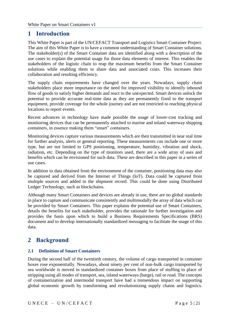## <span id="page-4-0"></span>**1 Introduction**

This White Paper is part of the UN/CEFACT Transport and Logistics Smart Container Project. The aim of this White Paper is to have a common understanding of Smart Container solutions. The stakeholder(s) of the Smart Container data are identified along with a description of the use cases to explain the potential usage for those data elements of interest. This enables the stakeholders of the logistic chain to reap the maximum benefits from the Smart Container solutions while enabling them to share data and associated costs. This increases their collaboration and resulting efficiency.

The supply chain requirements have changed over the years. Nowadays, supply chain stakeholders place more importance on the need for improved visibility to identify inbound flow of goods to satisfy higher demands and react to the unexpected. Smart devices unlock the potential to provide accurate real-time data as they are permanently fixed to the transport equipment, provide coverage for the whole journey and are not restricted to reaching physical locations to report events.

Recent advances in technology have made possible the usage of lower-cost tracking and monitoring devices that can be permanently attached to marine and inland waterway shipping containers, in essence making them "smart" containers.

Monitoring devices capture various measurements which are then transmitted in near real time for further analysis, alerts or general reporting. These measurements can include one or more type, but are not limited to GPS positioning, temperature, humidity, vibration and shock, radiation, etc. Depending on the type of monitors used, there are a wide array of uses and benefits which can be envisioned for such data. These are described in this paper in a series of use cases.

In addition to data obtained from the environment of the container, positioning data may also be captured and derived from the Internet of Things (IoT). Data could be captured from multiple sources and added to the shipment record. This could be done using Distributed Ledger Technology, such as blockchains.

Although many Smart Containers and devices are already in use, there are no global standards in place to capture and communicate consistently and multimodally the array of data which can be provided by Smart Containers. This paper explains the potential use of Smart Containers, details the benefits for each stakeholder, provides the rationale for further investigation and provides the basis upon which to build a Business Requirements Specifications (BRS) document and to develop internationally standardized messaging to facilitate the usage of this data.

## <span id="page-4-1"></span>**2 Background**

## <span id="page-4-2"></span>**2.1 Definition of Smart Containers**

During the second half of the twentieth century, the volume of cargo transported in container boxes rose exponentially. Nowadays, about ninety per cent of non-bulk cargo transported by sea worldwide is moved in standardized container boxes from place of stuffing to place of stripping using all modes of transport, sea, inland waterways (barge), rail or road. The concepts of containerization and intermodal transport have had a tremendous impact on supporting global economic growth by transforming and revolutionizing supply chains and logistics.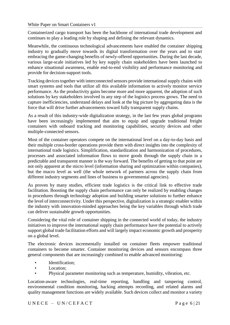Containerized cargo transport has been the backbone of international trade development and continues to play a leading role by shaping and defining the relevant dynamics.

Meanwhile, the continuous technological advancements have enabled the container shipping industry to gradually move towards its digital transformation over the years and to start embracing the game-changing benefits of newly-offered opportunities. During the last decade, various large-scale initiatives led by key supply chain stakeholders have been launched to enhance situational awareness, enable end-to-end visibility and performance monitoring and provide for decision-support tools.

Tracking devices together with interconnected sensors provide international supply chains with smart systems and tools that utilize all this available information to actively monitor service performance. As the productivity gains become more and more apparent, the adoption of such solutions by key stakeholders involved in any step of the logistics process grows. The need to capture inefficiencies, understand delays and look at the big picture by aggregating data is the force that will drive further advancements toward fully transparent supply chains.

As a result of this industry-wide digitalization strategy, in the last few years global programs have been increasingly implemented that aim to equip and upgrade traditional freight containers with onboard tracking and monitoring capabilities, security devices and other multiple-connected sensors.

Most of the container operators compete on the international level on a day-to-day basis and their multiple cross-border operations provide them with direct insights into the complexity of international trade logistics. Simplification, standardization and harmonization of procedures, processes and associated information flows to move goods through the supply chain in a predictable and transparent manner is the way forward. The benefits of getting to that point are not only apparent at the micro level (information sharing and optimization within companies), but the macro level as well (the whole network of partners across the supply chain from different industry segments and lines of business to governmental agencies).

As proven by many studies, efficient trade logistics is the critical link to effective trade facilitation. Boosting the supply chain performance can only be realized by enabling changes in procedures through technology adoption and building smarter solutions to further enhance the level of interconnectivity. Under this perspective, digitalization is a strategic enabler within the industry with innovation-minded approaches being the key variables through which trade can deliver sustainable growth opportunities.

Considering the vital role of container shipping in the connected world of today, the industry initiatives to improve the international supply chain performance have the potential to actively support global trade facilitation efforts and will largely impact economic growth and prosperity on a global level.

The electronic devices incrementally installed on container fleets empower traditional containers to become smarter. Container monitoring devices and sensors encompass three general components that are increasingly combined to enable advanced monitoring:

- Identification;
- Location:
- Physical parameter monitoring such as temperature, humidity, vibration, etc.

Location-aware technologies, real-time reporting, handling and tampering control, environmental condition monitoring, hacking attempts recording, and related alarms and quality management functions are widely available. Such devices collect and monitor a variety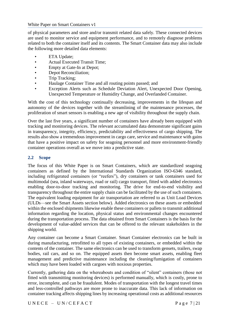of physical parameters and store and/or transmit related data safely. These connected devices are used to monitor service and equipment performance, and to remotely diagnose problems related to both the container itself and its contents. The Smart Container data may also include the following more detailed data elements:

- **ETA Update;**
- Actual Executed Transit Time;
- Empty at Gate-In at Depot;
- Depot Reconciliation;
- Trip Tracking;
- Haulage Container Time and all routing points passed; and
- Exception Alerts such as Schedule Deviation Alert, Unexpected Door Opening, Unexpected Temperature or Humidity Change, and Overlanded Container.

With the cost of this technology continually decreasing, improvements in the lifespan and autonomy of the devices together with the streamlining of the maintenance processes, the proliferation of smart sensors is enabling a new age of visibility throughout the supply chain.

Over the last five years, a significant number of containers have already been equipped with tracking and monitoring devices. The relevant accumulated data demonstrate significant gains in transparency, integrity, efficiency, predictability and effectiveness of cargo shipping. The results also show a tremendous improvement in cargo care, service and maintenance with gains that have a positive impact on safety for seagoing personnel and more environment-friendly container operations overall as we move into a predictive state.

#### <span id="page-6-0"></span>**2.2 Scope**

The focus of this White Paper is on Smart Containers, which are standardized seagoing containers as defined by the International Standards Organization ISO-6346 standard, including refrigerated containers (or "reefers"), dry containers or tank containers used for multimodal (sea, inland waterways, road or rail) cargo transport, fitted with added electronics enabling door-to-door tracking and monitoring. The drive for end-to-end visibility and transparency throughout the entire supply chain can be facilitated by the use of such containers. The equivalent loading equipment for air transportation are referred to as Unit Load Devices (ULDs—see the Smart Assets section below). Added electronics on these assets or embedded within the enclosed shipments likewise enable these containers or pallets to transmit additional information regarding the location, physical status and environmental changes encountered during the transportation process. The data obtained from Smart Containers is the basis for the development of value-added services that can be offered to the relevant stakeholders in the shipping world.

Any container can become a Smart Container. Smart Container electronics can be built in during manufacturing, retrofitted to all types of existing containers, or embedded within the contents of the container. The same electronics can be used to transform gensets, trailers, swap bodies, rail cars, and so on. The equipped assets then become smart assets, enabling fleet management and predictive maintenance including the cleaning/fumigation of containers which may have been loaded with cargoes with noxious properties.

Currently, gathering data on the whereabouts and condition of "silent" containers (those not fitted with transmitting monitoring devices) is performed manually, which is costly, prone to error, incomplete, and can be fraudulent. Modes of transportation with the longest travel times and less-controlled pathways are more prone to inaccurate data. This lack of information on container tracking affects shipping lines by increasing operational costs as additional resources

 $UNECE - UN/CEFACT$  Page 7 | 21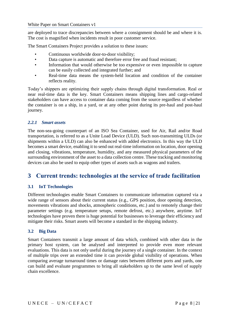are deployed to trace discrepancies between where a consignment should be and where it is. The cost is magnified when incidents result in poor customer service.

The Smart Containers Project provides a solution to these issues:

- Continuous worldwide door-to-door visibility;
- Data capture is automatic and therefore error free and fraud resistant;
- Information that would otherwise be too expensive or even impossible to capture can be easily collected and integrated further; and
- Real-time data means the system-held location and condition of the container reflects reality.

Today's shippers are optimizing their supply chains through digital transformation. Real or near real-time data is the key. Smart Containers means shipping lines and cargo-related stakeholders can have access to container data coming from the source regardless of whether the container is on a ship, in a yard, or at any other point during its pre-haul and post-haul journey.

## <span id="page-7-0"></span>*2.2.1 Smart assets*

The non-sea-going counterpart of an ISO Sea Container, used for Air, Rail and/or Road transportation, is referred to as a Unite Load Device (ULD). Such non-transmitting ULDs (or shipments within a ULD) can also be enhanced with added electronics. In this way the ULD becomes a smart device, enabling it to send out real-time information on location, door opening and closing, vibrations, temperature, humidity, and any measured physical parameters of the surrounding environment of the asset to a data collection centre. These tracking and monitoring devices can also be used to equip other types of assets such as wagons and trailers.

## <span id="page-7-1"></span>**3 Current trends: technologies at the service of trade facilitation**

## <span id="page-7-2"></span>**3.1 IoT Technologies**

Different technologies enable Smart Containers to communicate information captured via a wide range of sensors about their current status (e.g., GPS position, door opening detection, movements vibrations and shocks, atmospheric conditions, etc.) and to remotely change their parameter settings (e.g. temperature setups, remote defrost, etc.) anywhere, anytime. IoT technologies have proven there is huge potential for businesses to leverage their efficiency and mitigate their risks. Smart assets will become a standard in the shipping industry.

#### <span id="page-7-3"></span>**3.2 Big Data**

Smart Containers transmit a large amount of data which, combined with other data in the primary host system, can be analysed and interpreted to provide even more relevant evaluations. This data is not only useful during the journey of a single container. In the context of multiple trips over an extended time it can provide global visibility of operations. When comparing average turnaround times or damage rates between different ports and yards, one can build and evaluate programmes to bring all stakeholders up to the same level of supply chain excellence.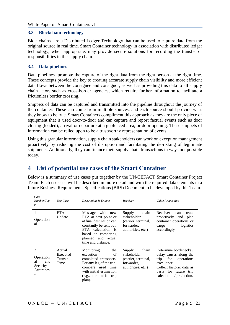#### <span id="page-8-0"></span>**3.3 Blockchain technology**

Blockchains are a Distributed Ledger Technology that can be used to capture data from the original source in real time. Smart Container technology in association with distributed ledger technology, when appropriate, may provide secure solutions for recording the transfer of responsibilities in the supply chain.

## <span id="page-8-1"></span>**3.4 Data pipelines**

Data pipelines promote the capture of the right data from the right person at the right time. These concepts provide the key to creating accurate supply chain visibility and more efficient data flows between the consignee and consignor, as well as providing this data to all supply chain actors such as cross-border agencies, which require further information to facilitate a frictionless border crossing.

Snippets of data can be captured and transmitted into the pipeline throughout the journey of the container. These can come from multiple sources, and each source should provide what they know to be true. Smart Containers compliment this approach as they are the only piece of equipment that is used door-to-door and can capture and report factual events such as door closing (loaded), arrival or departure at a geofenced area, or door opening. These snippets of information can be relied upon to be a trustworthy representation of events.

Using this granular information, supply chain stakeholders can work on exception management proactively by reducing the cost of disruption and facilitating the de-risking of legitimate shipments. Additionally, they can finance their supply chain transactions in ways not possible today.

## <span id="page-8-2"></span>**4 List of potential use cases of the Smart Container**

Below is a summary of use cases put together by the UN/CEFACT Smart Container Project Team. Each use case will be described in more detail and with the required data elements in a future Business Requirements Specifications (BRS) Document to be developed by this Team.

| Case<br>Number/Typ<br>$\boldsymbol{e}$                   | Use Case                                     | Description & Trigger                                                                                                                                                                   | Receiver                                                                                  | <i>Value Proposition</i>                                                                                                                                                        |
|----------------------------------------------------------|----------------------------------------------|-----------------------------------------------------------------------------------------------------------------------------------------------------------------------------------------|-------------------------------------------------------------------------------------------|---------------------------------------------------------------------------------------------------------------------------------------------------------------------------------|
| Operation<br>al                                          | <b>ETA</b><br>Update                         | Message with new<br>ETA at next point or<br>at final destination can<br>constantly be sent out.<br>ETA calculation is<br>based on comparing<br>planned and actual<br>time and distance. | Supply<br>chain<br>stakeholder<br>(carrier, terminal,<br>forwarder,<br>authorities, etc.) | Receiver<br>can<br>react<br>proactively<br>and<br>plan<br>container operations or<br>logistics<br>cargo<br>accordingly                                                          |
| 2<br>Operation<br>al<br>and<br>Security<br>Awarenes<br>S | Actual<br>Executed<br><b>Transit</b><br>Time | Monitoring<br>the<br>execution<br>of<br>completed transports.<br>For any leg of the trip,<br>compare used time<br>with initial estimation<br>(e.g., the initial trip<br>plan).          | chain<br>Supply<br>stakeholder<br>(carrier, terminal,<br>forwarder,<br>authorities, etc.) | Determine bottlenecks /<br>delay causes along the<br>for<br>operations<br>trip<br>excellence.<br>Collect historic data as<br>basis for future trip<br>calculation / prediction. |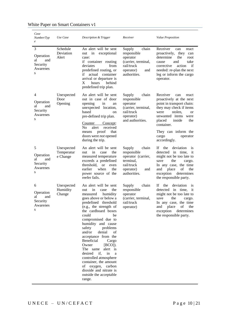| Case<br>Number/Typ<br>e                                  | Use Case                             | Description & Trigger                                                                                                                                                                                                                                                                                                                                                                                                                                                                                                                                    | Receiver                                                                                                                | <b>Value Proposition</b>                                                                                                                                                                                                                                                   |
|----------------------------------------------------------|--------------------------------------|----------------------------------------------------------------------------------------------------------------------------------------------------------------------------------------------------------------------------------------------------------------------------------------------------------------------------------------------------------------------------------------------------------------------------------------------------------------------------------------------------------------------------------------------------------|-------------------------------------------------------------------------------------------------------------------------|----------------------------------------------------------------------------------------------------------------------------------------------------------------------------------------------------------------------------------------------------------------------------|
| 3<br>Operation<br>al<br>and<br>Security<br>Awarenes<br>S | Schedule<br>Deviation<br>Alert       | An alert will be sent<br>in<br>exceptional<br>out<br>case:<br>if container routing<br>deviates<br>from<br>predefined routing, or<br>if actual<br>container<br>arrival or departure is<br>X<br>hours<br>behind<br>predefined trip plan.                                                                                                                                                                                                                                                                                                                   | chain<br>Supply<br>responsible<br>operator<br>(carrier, terminal,<br>rail/truck<br>operator)<br>and<br>authorities.     | Receiver<br>can<br>react<br>proactively,<br>they<br>can<br>determine<br>the<br>root<br>and<br>take<br>cause<br>if<br>corrective<br>action<br>needed: re-plan the next<br>leg or inform the cargo<br>operator.                                                              |
| 4<br>Operation<br>al<br>and<br>Security<br>Awarenes<br>S | Unexpected<br>Door<br>Opening        | An alert will be sent<br>out in case of door<br>opening<br>in<br>an<br>unexpected location,<br>based<br><sub>on</sub><br>pre-defined trip plan.<br>Concept:<br>Counter<br>No.<br>alert<br>received<br>proof<br>that<br>means<br>doors were <i>not</i> opened<br>during the trip.                                                                                                                                                                                                                                                                         | chain<br><b>Supply</b><br>responsible<br>operator<br>(carrier, terminal,<br>rail/truck<br>operator)<br>and authorities. | Receiver<br>can<br>react<br>proactively at the next<br>point in transport chain:<br>they may check if items<br>were<br>stolen.<br><b>or</b><br>unwanted items<br>were<br>placed<br>inside<br>the<br>container.<br>They can inform the<br>cargo<br>operator<br>accordingly. |
| 5<br>Operation<br>al<br>and<br>Security<br>Awarenes<br>S | Unexpected<br>Temperatur<br>e Change | An alert will be sent<br>the<br>in<br>out<br>case<br>measured temperature<br>exceeds a predefined<br>threshold,<br><b>or</b><br>even<br>earlier<br>when<br>the<br>power source of the<br>reefer fails.                                                                                                                                                                                                                                                                                                                                                   | chain<br>Supply<br>responsible<br>operator (carrier,<br>terminal,<br>rail/truck<br>operator)<br>and<br>authorities.     | <b>If</b><br>the<br>deviation<br><sup>1</sup> S<br>detected in time,<br><sup>1</sup> t<br>might not be too late to<br>the<br>save<br>cargo.<br>In any case, the time<br>place<br>of<br>the<br>and<br>exception<br>determines<br>the responsible party.                     |
| 6<br>Operation<br>al<br>and<br>Security<br>Awarenes<br>S | Unexpected<br>Humidity<br>Change     | An alert will be sent<br>the<br>in<br>out<br>case<br>measured<br>humidity<br>goes above or below a<br>predefined<br>threshold<br>(e.g., the strength of<br>the cardboard boxes<br>could<br>be<br>compromised due to<br>humidity and cause<br>problems<br>safety<br>and/or<br>denial<br>of<br>acceptance from the<br>Beneficial<br>Cargo<br>Owner<br>$[BCO]$ ).<br>The same<br>alert is<br>desired<br>if,<br>in<br>a<br>controlled atmosphere<br>container, the amount<br>of oxygen, carbon<br>dioxide and nitrate is<br>outside the acceptable<br>range. | Supply<br>chain<br>responsible<br>operator<br>(carrier, terminal,<br>rail/truck<br>operator)                            | If<br>deviation<br>the<br><sup>1</sup> S<br>detected<br>in time,<br>it<br>might not be too late to<br>save<br>the<br>cargo.<br>In any case, the time<br>and place<br>of the<br>exception<br>determines<br>the responsible party.                                           |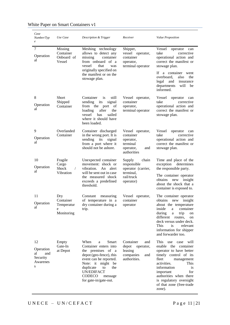| Case<br>Number/Typ<br>$\boldsymbol{e}$                    | Use Case                                                    | Description & Trigger                                                                                                                                                                                                                   | Receiver                                                                                     | <b>Value Proposition</b>                                                                                                                                                                                                                                                                      |
|-----------------------------------------------------------|-------------------------------------------------------------|-----------------------------------------------------------------------------------------------------------------------------------------------------------------------------------------------------------------------------------------|----------------------------------------------------------------------------------------------|-----------------------------------------------------------------------------------------------------------------------------------------------------------------------------------------------------------------------------------------------------------------------------------------------|
| 7<br>Operation<br>al                                      | Missing<br>Container<br>Onboard of<br>Vessel                | Meshing technology<br>allows to detect any<br>container<br>missing<br>from onboard of a<br>that<br>vessel<br>was<br>originally specified on<br>the manifest or on the<br>stowage plan.                                                  | Shipper,<br>vessel operator,<br>container<br>operator,<br>terminal operator                  | Vessel<br>operator<br>can<br>take<br>corrective<br>operational action and<br>correct the manifest or<br>stowage plan.<br>If a container<br>went<br>overboard,<br>the<br>also<br>legal<br>and<br>insurance<br>departments<br>will<br>be<br>informed.                                           |
| 8<br>Operation<br>al                                      | Short<br>Shipped<br>Container                               | Container<br>still<br><i>is</i><br>sending<br>its<br>signal<br>from the port<br>of<br>after<br>the<br>loading<br>sailed<br>vessel<br>has<br>where it should have<br>been loaded.                                                        | Vessel operator,<br>container<br>operator,<br>terminal operator                              | Vessel<br>operator<br>can<br>take<br>corrective<br>operational action and<br>correct the manifest or<br>stowage plan.                                                                                                                                                                         |
| 9<br>Operation<br>al                                      | Overlanded<br>Container                                     | Container discharged<br>in the wrong port. It is<br>sending<br>its<br>signal<br>from a port where it<br>should not be ashore.                                                                                                           | Vessel operator,<br>container<br>operator,<br>terminal<br>operator,<br>and<br>authorities    | Vessel<br>operator<br>can<br>take<br>corrective<br>operational action and<br>correct the manifest or<br>stowage plan.                                                                                                                                                                         |
| 10<br>Operation<br>al                                     | Fragile<br>Cargo<br><b>Shock</b><br>$\sqrt{2}$<br>Vibration | Unexpected container<br>movement: shock or<br>vibration. An alert<br>will be sent out in case<br>the measured shock<br>exceeds a predefined<br>threshold.                                                                               | Supply<br>chain<br>responsible<br>operator (carrier,<br>terminal,<br>rail/truck<br>operator) | Time and place of the<br>exception<br>determines<br>the responsible party.<br>The container operator<br>obtains<br>new<br>insight<br>about the shock that a<br>container is exposed to.                                                                                                       |
| 11<br>Operation<br>al                                     | Dry<br>Container<br>Temperatur<br>e<br>Monitoring           | Constant<br>measuring<br>of temperature in a<br>dry container during a<br>trip.                                                                                                                                                         | Vessel operator,<br>container<br>operator                                                    | The container operator<br>obtains<br>insight<br>new<br>about the temperature<br>inside<br>container<br>a<br>during<br>trip<br>a<br>on<br>different routes,<br>on<br>deck versus under deck.<br>This<br><i>is</i><br>relevant<br>information for shipper<br>and forwarder too.                 |
| 12<br>Operation<br>al<br>and<br>Security<br>Awarenes<br>S | Empty<br>Gate-In<br>at Depot                                | When<br>Smart<br>a<br>Container enters into<br>the premises of a<br>depot (geo-fence), this<br>event can be reported.<br>Note: it might be<br>duplicate<br>the<br>to<br><b>UN/EDIFACT</b><br>CODECO<br>message<br>for gate-in/gate-out. | Container<br>and<br>depot<br>operator,<br>leasing<br>companies<br>and<br>authorities.        | This use case<br>will<br>enable the<br>container<br>operator to have better<br>timely control of its<br>fleet<br>management<br>activities.<br>This<br>information<br><i>is</i><br>for<br>important<br>authorities when there<br>is regulatory oversight<br>of that zone (free-trade<br>zone). |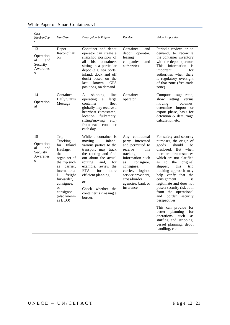| Case<br>Number/Typ<br>$\boldsymbol{e}$                    | Use Case                                                                                                                                                                                                                     | Description & Trigger                                                                                                                                                                                                                                                                                           | Receiver                                                                                                                                                                                                                                     | <b>Value Proposition</b>                                                                                                                                                                                                                                                                                                                                                                                                                                                                                                                                                                 |
|-----------------------------------------------------------|------------------------------------------------------------------------------------------------------------------------------------------------------------------------------------------------------------------------------|-----------------------------------------------------------------------------------------------------------------------------------------------------------------------------------------------------------------------------------------------------------------------------------------------------------------|----------------------------------------------------------------------------------------------------------------------------------------------------------------------------------------------------------------------------------------------|------------------------------------------------------------------------------------------------------------------------------------------------------------------------------------------------------------------------------------------------------------------------------------------------------------------------------------------------------------------------------------------------------------------------------------------------------------------------------------------------------------------------------------------------------------------------------------------|
| 13<br>Operation<br>al<br>and<br>Security<br>Awarenes<br>S | Depot<br>Reconciliati<br>on                                                                                                                                                                                                  | Container and depot<br>operator can create a<br>snapshot position of<br>all<br>his.<br>containers<br>sitting in a particular<br>depot (e.g. sea ports,<br>inland, dock and off<br>dock) based on the<br><b>GPS</b><br>known<br>last<br>positions, on demand.                                                    | Container<br>and<br>depot<br>operator,<br>leasing<br>companies<br>and<br>authorities.                                                                                                                                                        | Periodic review, or on<br>demand, to reconcile<br>the container inventory<br>with the depot operator.<br>information<br>This<br>is<br>for<br>important<br>authorities when there<br>is regulatory oversight<br>of that zone (free-trade<br>zone).                                                                                                                                                                                                                                                                                                                                        |
| 14<br>Operation<br>al                                     | Container<br>Daily Status<br>Message                                                                                                                                                                                         | shipping<br>line<br>A<br>large<br>operating<br>a<br>container<br>fleet<br>globally may receive a<br>heartbeat (timestamp,<br>location, full/empty,<br>sitting/moving,<br>$etc.$ )<br>from each container<br>each day.                                                                                           | Container<br>operator                                                                                                                                                                                                                        | Compute usage ratio,<br>sitting<br>show<br>versus<br>moving<br>volumes.<br>determine<br>import<br>or<br>export phase, basis for<br>detention & demurrage<br>calculation etc.                                                                                                                                                                                                                                                                                                                                                                                                             |
| 15<br>Operation<br>al<br>and<br>Security<br>Awarenes<br>S | Trip<br>Tracking<br>Inland<br>for<br>Haulage:<br>the<br>organizer of<br>the trip such<br>carrier.<br>as<br>internationa<br>1<br>freight<br>forwarder,<br>consignee,<br><sub>or</sub><br>consignor<br>(also known)<br>as BCO) | While a container is<br>moving<br>inland.<br>various parties to the<br>transport may track<br>the routing and find<br>out about the actual<br>routing<br>and,<br>for<br>example, review the<br>ETA.<br>for<br>more<br>efficient planning<br>or<br>whether<br>Check<br>the<br>container is crossing a<br>border. | Any contractual<br>party interested<br>and permitted to<br>receive<br>this<br>tracking<br>information such<br>consignor,<br>as<br>consignee,<br>logistic<br>carrier,<br>service providers,<br>cross-border<br>agencies, bank or<br>insurance | For safety and security<br>purposes, the origin of<br>goods<br>should<br>be<br>disclosed.<br>But<br>when<br>there are circumstances<br>which are not clarified<br>the<br>to<br>original<br>as<br>this<br>trip<br>shipper,<br>tracking approach may<br>help verify that the<br>consignment<br>is<br>legitimate and does not<br>pose a security risk both<br>from the operational<br>border<br>security<br>and<br>perspectives.<br>This can provide<br>for<br>better<br>planning<br>for<br>operations<br>such<br>as<br>stuffing and stripping,<br>vessel planning, depot<br>handling, etc. |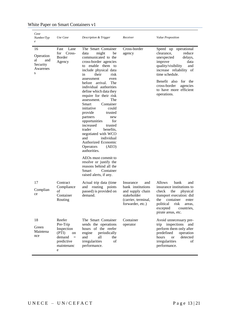| Case<br>Number/Typ<br>$\boldsymbol{e}$                    | Use Case                                                                                               | Description & Trigger                                                                                                                                                                                                                                                                                                                                                                                                                                                                                                                                                                                                                                                                                                   | Receiver                                                                                                            | Value Proposition                                                                                                                                                                                                                                                  |
|-----------------------------------------------------------|--------------------------------------------------------------------------------------------------------|-------------------------------------------------------------------------------------------------------------------------------------------------------------------------------------------------------------------------------------------------------------------------------------------------------------------------------------------------------------------------------------------------------------------------------------------------------------------------------------------------------------------------------------------------------------------------------------------------------------------------------------------------------------------------------------------------------------------------|---------------------------------------------------------------------------------------------------------------------|--------------------------------------------------------------------------------------------------------------------------------------------------------------------------------------------------------------------------------------------------------------------|
| 16<br>Operation<br>al<br>and<br>Security<br>Awarenes<br>S | Lane<br>Fast<br>Cross-<br>for<br>Border<br>Agency                                                      | The Smart Container<br>might<br>data<br>be<br>communicated to the<br>cross-border agencies<br>to enable them to<br>include physical data<br>in<br>their<br>risk<br>assessment<br>even<br>before<br>arrival.<br>The<br>individual authorities<br>define which data they<br>require for their risk<br>The<br>assessment.<br>Container<br>Smart<br>initiative<br>could<br>provide<br>trusted<br>partners<br>new<br>for<br>opportunities<br>increased<br>trusted<br>trader<br>benefits,<br>negotiated with WCO<br>individual<br>and<br>Authorized Economic<br>Operators<br>(AEO)<br>authorities.<br>AEOs must commit to<br>resolve or justify the<br>reasons behind all the<br>Container<br>Smart<br>raised alerts, if any. | Cross-border<br>agency                                                                                              | Speed up operational<br>clearance,<br>reduce<br>unexpected<br>delays,<br>improve<br>data<br>quality/visibility<br>and<br>increase reliability of<br>time schedule.<br>Benefit also<br>for the<br>cross-border<br>agencies<br>to have more efficient<br>operations. |
| 17<br>Complian<br>ce                                      | Contract<br>Compliance<br>of<br>Container<br>Routing                                                   | Actual trip data (time<br>routing points<br>and<br>passed) is provided on<br>demand.                                                                                                                                                                                                                                                                                                                                                                                                                                                                                                                                                                                                                                    | Insurance<br>and<br>bank institutions<br>and supply chain<br>stakeholder<br>(carrier, terminal,<br>forwarder, etc.) | Allows<br>bank<br>and<br>insurance institutions to<br>check<br>the<br>physical<br>transport execution: did<br>the<br>container<br>enter<br>political risk areas,<br>excepted<br>countries,<br>pirate areas, etc.                                                   |
| 18<br>Green<br>Maintena<br>nce                            | Reefer<br>Pre-Trip<br>Inspection<br>(PTI)<br>on<br>demand<br>$\equiv$<br>predictive<br>maintenanc<br>e | The Smart Container<br>sends the operations<br>hours of the reefer<br>engine<br>periodically<br>and<br>all<br>the<br>irregularities<br>of<br>performance.                                                                                                                                                                                                                                                                                                                                                                                                                                                                                                                                                               | Container<br>operator                                                                                               | Avoid unnecessary pre-<br>trip inspections<br>and<br>perform them only after<br>predefined<br>operation<br>hours<br>detected<br><sub>or</sub><br>irregularities<br>of<br>performance.                                                                              |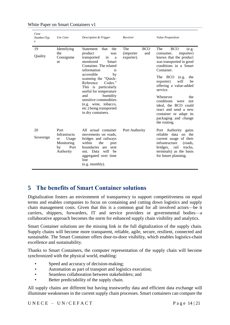| Case<br>Number/Typ<br>$\boldsymbol{e}$ | Use Case                                                                     | Description & Trigger                                                                                                                                                                                                                                                                                                                                                                        | Receiver                                             | Value Proposition                                                                                                                                                                                                                                                                                                                                                                                              |
|----------------------------------------|------------------------------------------------------------------------------|----------------------------------------------------------------------------------------------------------------------------------------------------------------------------------------------------------------------------------------------------------------------------------------------------------------------------------------------------------------------------------------------|------------------------------------------------------|----------------------------------------------------------------------------------------------------------------------------------------------------------------------------------------------------------------------------------------------------------------------------------------------------------------------------------------------------------------------------------------------------------------|
| 19<br>Quality                          | Identifying<br>the<br>Consignme<br>nt                                        | Statement<br>that<br>the<br>product<br>was<br>transported<br>in<br>a<br>monitored<br><b>Smart</b><br>Container. The related<br>information<br>is.<br>accessible<br>by<br>scanning the "Quick-<br>Codes."<br>Reference<br>This is particularly<br>useful for temperature<br>humidity<br>and<br>sensitive commodities<br>(e.g. wine, tobacco,<br>etc.) being transported<br>in dry containers. | BCO<br>The<br><i>(importer)</i><br>and<br>exporter). | <b>BCO</b><br>The<br>(e.g.<br>importer)<br>consumer,<br>knows that the product<br>was transported in good<br>conditions in a Smart<br>Container.<br>The BCO<br>(e.g.<br>the<br>will<br>be<br>exporter)<br>offering a value-added<br>service.<br>Whenever<br>the<br>conditions<br>were<br>not<br>ideal, the BCO could<br>react and send a new<br>container or adapt its<br>packaging and change<br>the routing. |
| 20<br>Sovereign                        | Port<br>Infrastructu<br>Usage<br>re<br>Monitoring<br>Port<br>by<br>Authority | All actual container<br>movements on roads.<br>bridges and railways<br>the<br>within<br>port<br><b>boundaries</b><br>sent<br>are<br>will<br>he<br>out. Data<br>aggregated over time<br>line<br>(e.g. monthly).                                                                                                                                                                               | Port Authority                                       | Port Authority gains<br>reliable data on the<br>current usage of their<br>infrastructure<br>(roads,<br>bridges,<br>rail<br>tracks.<br>terminals) as the basis<br>for future planning.                                                                                                                                                                                                                          |

## <span id="page-13-0"></span>**5 The benefits of Smart Container solutions**

Digitalization fosters an environment of transparency to support competitiveness on equal terms and enables companies to focus on containing and cutting down logistics and supply chain management costs. Given that this is a common goal for all involved actors—be it carriers, shippers, forwarders, IT and service providers or governmental bodies—a collaborative approach becomes the norm for enhanced supply chain visibility and analytics.

Smart Container solutions are the missing link in the full digitalization of the supply chain. Supply chains will become more transparent, reliable, agile, secure, resilient, connected and sustainable. The Smart Container offers door-to-door visibility, which enables logistics-chain excellence and sustainability.

Thanks to Smart Containers, the computer representation of the supply chain will become synchronized with the physical world, enabling:

- Speed and accuracy of decision-making;
- Automation as part of transport and logistics execution;
- Seamless collaboration between stakeholders; and
- Better predictability of the supply chain.

All supply chains are different but having trustworthy data and efficient data exchange will illuminate weaknesses in the current supply chain processes. Smart containers can compare the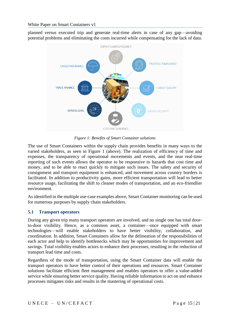planned versus executed trip and generate real-time alerts in case of any gap—avoiding potential problems and eliminating the costs incurred while compensating for the lack of data.



*Figure 1: Benefits of Smart Container solutions*

The use of Smart Containers within the supply chain provides benefits in many ways to the varied stakeholders, as seen in Figure 1 (above). The realization of efficiency of time and expenses, the transparency of operational movements and events, and the near real-time reporting of such events allows the operator to be responsive to hazards that cost time and money, and to be able to react quickly to mitigate such issues. The safety and security of consignment and transport equipment is enhanced, and movement across country borders is facilitated. In addition to productivity gains, more efficient transportation will lead to better resource usage, facilitating the shift to cleaner modes of transportation, and an eco-friendlier environment.

As identified in the multiple use-case examples above, Smart Container monitoring can be used for numerous purposes by supply chain stakeholders.

## <span id="page-14-0"></span>**5.1 Transport operators**

During any given trip many transport operators are involved, and no single one has total doorto-door visibility. Hence, as a common asset, a container—once equipped with smart technologies—will enable stakeholders to have better visibility, collaboration, and coordination. In addition, Smart Containers allow for the delineation of the responsibilities of each actor and help to identify bottlenecks which may be opportunities for improvement and savings. Total visibility enables actors to enhance their processes, resulting in the reduction of transport lead time and costs.

Regardless of the mode of transportation, using the Smart Container data will enable the transport operators to have better control of their operations and resources. Smart Container solutions facilitate efficient fleet management and enables operators to offer a value-added service while ensuring better service quality. Having reliable information to act on and enhance processes mitigates risks and results in the mastering of operational costs.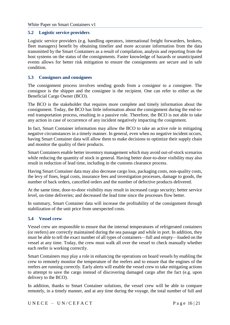#### <span id="page-15-0"></span>**5.2 Logistic service providers**

Logistic service providers (e.g. handling operators, international freight forwarders, brokers, fleet managers) benefit by obtaining timelier and more accurate information from the data transmitted by the Smart Containers as a result of compilation, analysis and reporting from the host systems on the status of the consignments. Faster knowledge of hazards or unanticipated events allows for better risk mitigation to ensure the consignments are secure and in safe condition.

#### <span id="page-15-1"></span>**5.3 Consignors and consignees**

The consignment process involves sending goods from a consignor to a consignee. The consignor is the shipper and the consignee is the recipient. One can refer to either as the Beneficial Cargo Owner (BCO).

The BCO is the stakeholder that requires more complete and timely information about the consignment. Today, the BCO has little information about the consignment during the end-toend transportation process, resulting in a passive role. Therefore, the BCO is not able to take any action in case of occurrence of any incident negatively impacting the cosignment.

In fact, Smart Container information may allow the BCO to take an active role in mitigating negative circumstances in a timely manner. In general, even when no negative incident occurs, having Smart Container data will allow them to make decisions to optimize their supply chain and monitor the quality of their products.

Smart Containers enable better inventory management which may avoid out-of-stock scenarios while reducing the quantity of stock in general. Having better door-to-door visibility may also result in reduction of lead time, including in the customs clearance process.

Having Smart Container data may also decrease cargo loss, packaging costs, non-quality costs, the levy of fines, legal costs, insurance fees and investigation processes, damage to goods, the number of back orders, cancelled orders and the number of defective products delivered.

At the same time, door-to-door visibility may result in increased cargo security; better service level, on-time deliveries; and decreased the lead time since the processes flow better.

In summary, Smart Container data will increase the profitability of the consignment through stabilization of the unit price from unexpected costs.

#### <span id="page-15-2"></span>**5.4 Vessel crew**

Vessel crew are responsible to ensure that the internal temperatures of refrigerated containers (or reefers) are correctly maintained during the sea passage and while in port. In addition, they must be able to tell the exact number of all types of containers—full and empty—loaded on the vessel at any time. Today, the crew must walk all over the vessel to check manually whether each reefer is working correctly.

Smart Containers may play a role in enhancing the operations on board vessels by enabling the crew to remotely monitor the temperature of the reefers and to ensure that the engines of the reefers are running correctly. Early alerts will enable the vessel crew to take mitigating actions to attempt to save the cargo instead of discovering damaged cargo after the fact (e.g. upon delivery to the BCO).

In addition, thanks to Smart Container solutions, the vessel crew will be able to compare remotely, in a timely manner, and at any time during the voyage, the total number of full and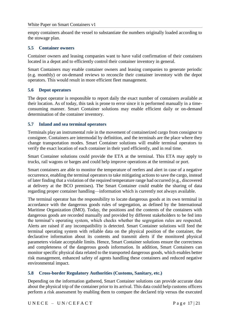empty containers aboard the vessel to substantiate the numbers originally loaded according to the stowage plan.

#### <span id="page-16-0"></span>**5.5 Container owners**

Container owners and leasing companies want to have valid confirmation of their containers located in a depot and to efficiently control their container inventory in general.

Smart Containers may enable container owners and leasing companies to generate periodic (e.g. monthly) or on-demand reviews to reconcile their container inventory with the depot operators. This would result in more efficient fleet management.

#### <span id="page-16-1"></span>**5.6 Depot operators**

The depot operator is responsible to report daily the exact number of containers available at their location. As of today, this task is prone to error since it is performed manually in a timeconsuming manner. Smart Container solutions may enable efficient daily or on-demand determination of the container inventory.

#### <span id="page-16-2"></span>**5.7 Inland and sea terminal operators**

Terminals play an instrumental role in the movement of containerized cargo from consignor to consignee. Containers are intermodal by definition, and the terminals are the place where they change transportation modes. Smart Container solutions will enable terminal operators to verify the exact location of each container in their yard efficiently, and in real time.

Smart Container solutions could provide the ETA at the terminal. This ETA may apply to trucks, rail wagons or barges and could help improve operations at the terminal or port.

Smart containers are able to monitor the temperature of reefers and alert in case of a negative occurrence, enabling the terminal operators to take mitigating actions to save the cargo, instead of later finding that a violation of the required temperature range had occurred (e.g., discovered at delivery at the BCO premises). The Smart Container could enable the sharing of data regarding proper container handling—information which is currently not always available.

The terminal operator has the responsibility to locate dangerous goods at its own terminal in accordance with the dangerous goods rules of segregation, as defined by the International Maritime Organization (IMO). Today, the positions and the contents of the containers with dangerous goods are recorded manually and provided by different stakeholders to be fed into the terminal's operating system, which checks whether the segregation rules are respected. Alerts are raised if any incompatibility is detected. Smart Container solutions will feed the terminal operating system with reliable data on the physical position of the container, the declarative information about its contents and transmit alerts if the monitored physical parameters violate acceptable limits. Hence, Smart Container solutions ensure the correctness and completeness of the dangerous goods information. In addition, Smart Containers can monitor specific physical data related to the transported dangerous goods, which enables better risk management, enhanced safety of agents handling these containers and reduced negative environmental impact.

## <span id="page-16-3"></span>**5.8 Cross-border Regulatory Authorities (Customs, Sanitary, etc.)**

Depending on the information gathered, Smart Container solutions can provide accurate data about the physical trip of the container prior to its arrival. This data could help customs officers perform a risk assessment by enabling them to compare the declared trip versus the executed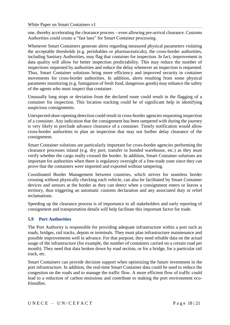one, thereby accelerating the clearance process—even allowing pre-arrival clearance. Customs Authorities could create a "fast lane" for Smart Container processing.

Whenever Smart Containers generate alerts regarding measured physical parameters violating the acceptable thresholds (e.g. perishables or pharmaceuticals), the cross-border authorities, including Sanitary Authorities, may flag that container for inspection. In fact, improvement in data quality will allow for better inspection predictability. This may reduce the number of inspections requested by authorities and reduce the delay whenever an inspection is requested. Thus, Smart Container solutions bring more efficiency and improved security in container movements for cross-border authorities. In addition, alerts resulting from some physical parameter monitoring (e.g. fumigation of fresh food, dangerous goods) may enhance the safety of the agents who must inspect that container.

Unusually long stops or deviation from the declared route could result in the flagging of a container for inspection. This location tracking could be of significant help in identifying suspicious consignments.

Unexpected-door-opening detection could result in cross-border agencies requesting inspection of a container. Any indication that the consignment has been tampered with during the journey is very likely to preclude advance clearance of a container. Timely notification would allow cross-border authorities to plan an inspection that may not further delay clearance of the consignment.

Smart Container solutions are particularly important for cross-border agencies performing the clearance processes inland (e.g. dry port, transfer to bonded warehouse, etc.) as they must verify whether the cargo really crossed the border. In addition, Smart Container solutions are important for authorities when there is regulatory oversight of a free-trade zone since they can prove that the containers were imported and exported without tampering.

Coordinated Border Management between countries, which strives for seamless border crossing without physically checking each vehicle, can also be facilitated by Smart Container devices and sensors at the border as they can detect when a consignment enters or leaves a territory, thus triggering an automatic customs declaration and any associated duty or relief reclamations.

Speeding up the clearance process is of importance to all stakeholders and early reporting of consignment and transportation details will help facilitate this important factor for trade.

#### <span id="page-17-0"></span>**5.9 Port Authorities**

The Port Authority is responsible for providing adequate infrastructure within a port such as roads, bridges, rail tracks, depots or terminals. They must plan infrastructure maintenance and possible improvements well in advance. For that purpose, they need reliable data on the actual usage of the infrastructure (for example, the number of containers carried on a certain road per month). They need that data broken down by road section, or for a bridge, for a particular rail track, etc.

Smart Containers can provide decision support when optimizing the future investment in the port infrastructure. In addition, the real-time Smart Container data could be used to reduce the congestion on the roads and to manage the traffic flow. A more efficient flow of traffic could lead to a reduction of carbon emissions and contribute to making the port environment ecofriendlier.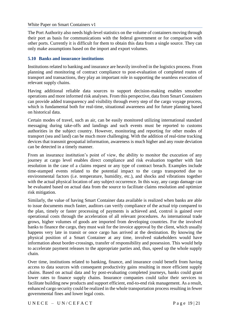The Port Authority also needs high-level statistics on the volume of containers moving through their port as basis for communications with the federal government or for comparison with other ports. Currently it is difficult for them to obtain this data from a single source. They can only make assumptions based on the import and export volumes.

#### <span id="page-18-0"></span>**5.10 Banks and insurance institutions**

Institutions related to banking and insurance are heavily involved in the logistics process. From planning and monitoring of contract compliance to post-evaluation of completed routes of transport and transactions, they play an important role in supporting the seamless execution of relevant supply chains.

Having additional reliable data sources to support decision-making enables smoother operations and more informed risk analyses. From this perspective, data from Smart Containers can provide added transparency and visibility through every step of the cargo voyage process, which is fundamental both for real-time, situational awareness and for future planning based on historical data.

Certain modes of travel, such as air, can be easily monitored utilizing international standard messaging during take-offs and landings and such events must be reported to customs authorities in the subject country. However, monitoring and reporting for other modes of transport (sea and land) can be much more challenging. With the addition of real-time tracking devices that transmit geospatial information, awareness is much higher and any route deviation can be detected in a timely manner.

From an insurance institution's point of view, the ability to monitor the execution of any journey at cargo level enables direct compliance and risk evaluation together with fast resolution in the case of a claims request or any type of contract breach. Examples include time-stamped events related to the potential impact to the cargo transported due to environmental factors (i.e. temperature, humidity, etc.), and shocks and vibrations together with the actual physical location of any subject occurrence. In this way, any cargo damage can be evaluated based on actual data from the source to facilitate claims resolution and optimize risk mitigation.

Similarly, the value of having Smart Container data available is realized when banks are able to issue documents much faster, auditors can verify compliance of the actual trip compared to the plan, timely or faster processing of payments is achieved and, control is gained over operational costs through the acceleration of all relevant procedures. As international trade grows, higher volumes of goods are imported from developing countries. For the involved banks to finance the cargo, they must wait for the invoice approval by the client, which usually happens very late in transit or once cargo has arrived at the destination. By knowing the physical position of a Smart Container at any time, involved stakeholders would have information about border-crossings, transfer of responsibility and possession. This would help to accelerate payment releases to the appropriate parties and, thus, speed up the whole supply chain.

Over time, institutions related to banking, finance, and insurance could benefit from having access to data sources with consequent productivity gains resulting in more efficient supply chains. Based on actual data and by post-evaluating completed journeys, banks could grant lower rates to finance supply chains. Insurance companies could tailor their services to facilitate building new products and support efficient, end-to-end risk management. As a result, enhanced cargo security could be realized in the whole transportation process resulting in fewer governmental fines and lower legal costs.

 $UNECE - UN/CEFACT$  Page 19 | 21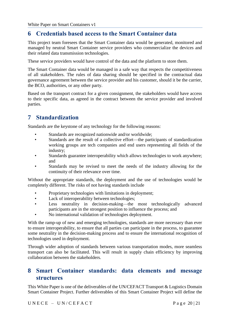## <span id="page-19-0"></span>**6 Credentials based access to the Smart Container data**

This project team foresees that the Smart Container data would be generated, monitored and managed by neutral Smart Container service providers who commercialize the devices and their related data transmission technologies.

These service providers would have control of the data and the platform to store them.

The Smart Container data would be managed in a safe way that respects the competitiveness of all stakeholders. The rules of data sharing should be specified in the contractual data governance agreement between the service provider and his customer, should it be the carrier, the BCO, authorities, or any other party.

Based on the transport contract for a given consignment, the stakeholders would have access to their specific data, as agreed in the contract between the service provider and involved parties.

## <span id="page-19-1"></span>**7 Standardization**

Standards are the keystone of any technology for the following reasons:

- Standards are recognized nationwide and/or worldwide;
- Standards are the result of a collective effort—the participants of standardization working groups are tech companies and end users representing all fields of the industry;
- Standards guarantee interoperability which allows technologies to work anywhere; and
- Standards may be revised to meet the needs of the industry allowing for the continuity of their relevance over time.

Without the appropriate standards, the deployment and the use of technologies would be completely different. The risks of not having standards include

- Proprietary technologies with limitations in deployment;
- Lack of interoperability between technologies;
- Less neutrality in decision-making—the most technologically advanced participants are in the strongest position to influence the process; and
- No international validation of technologies deployment.

With the ramp-up of new and emerging technologies, standards are more necessary than ever to ensure interoperability, to ensure that all parties can participate in the process, to guarantee some neutrality in the decision-making process and to ensure the international recognition of technologies used in deployment.

Through wider adoption of standards between various transportation modes, more seamless transport can also be facilitated. This will result in supply chain efficiency by improving collaboration between the stakeholders.

## <span id="page-19-2"></span>**8 Smart Container standards: data elements and message structures**

This White Paper is one of the deliverables of the UN/CEFACT Transport & Logistics Domain Smart Container Project. Further deliverables of this Smart Container Project will define the